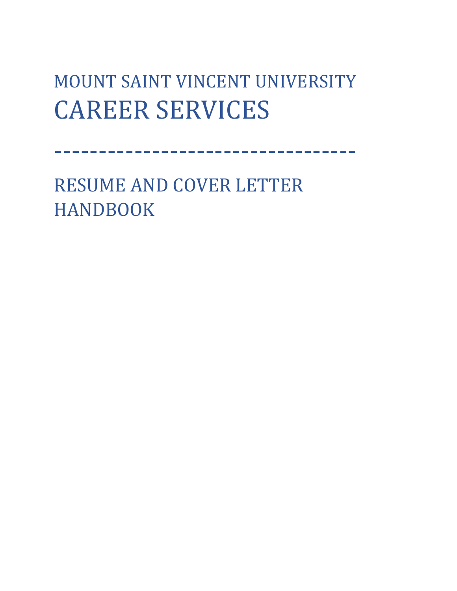# MOUNT SAINT VINCENT UNIVERSITY CAREER SERVICES

----------------------------------

RESUME AND COVER LETTER HANDBOOK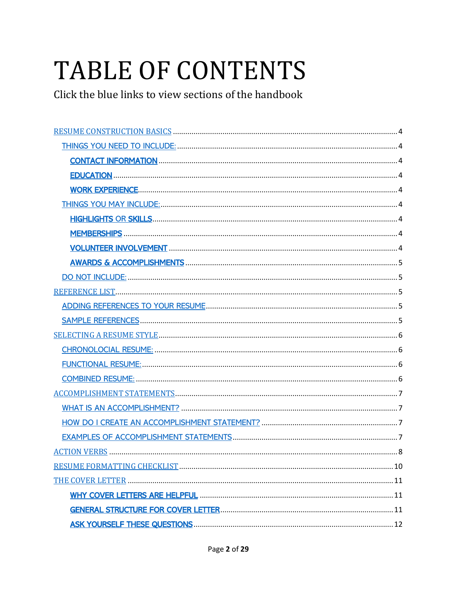# **TABLE OF CONTENTS**

Click the blue links to view sections of the handbook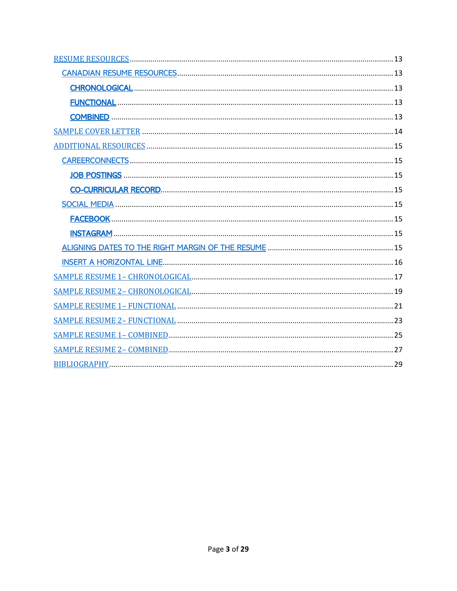<span id="page-2-0"></span>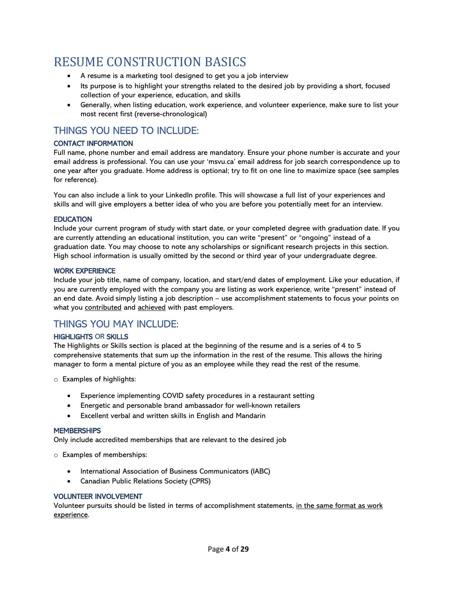# RESUME CONSTRUCTION BASICS<br>• A resume is a marketing tool designed to get you a job interview

- 
- Its purpose is to highlight your strengths related to the desired job by providing a short, focused collection of your experience, education, and skills
- Generally, when listing education, work experience, and volunteer experience, make sure to list your most recent first (reverse-chronological)

# <span id="page-3-0"></span>THINGS YOU NEED TO INCLUDE:

#### <span id="page-3-1"></span>CONTACT INFORMATION

Full name, phone number and email address are mandatory. Ensure your phone number is accurate and your email address is professional. You can use your 'msvu.ca' email address for job search correspondence up to one year after you graduate. Home address is optional; try to fit on one line to maximize space (see samples for reference).

You can also include a link to your LinkedIn profile. This will showcase a full list of your experiences and skills and will give employers a better idea of who you are before you potentially meet for an interview.

#### <span id="page-3-2"></span>**EDUCATION**

Include your current program of study with start date, or your completed degree with graduation date. If you are currently attending an educational institution, you can write "present" or "ongoing" instead of a graduation date. You may choose to note any scholarships or significant research projects in this section. High school information is usually omitted by the second or third year of your undergraduate degree.

#### <span id="page-3-3"></span>WORK EXPERIENCE

Include your job title, name of company, location, and start/end dates of employment. Like your education, if you are currently employed with the company you are listing as work experience, write "present" instead of an end date. Avoid simply listing a job description – use accomplishment statements to focus your points on what you contributed and achieved with past employers.

## <span id="page-3-4"></span>THINGS YOU MAY INCLUDE:

#### <span id="page-3-5"></span>HIGHLIGHTS OR SKILLS

The Highlights or Skills section is placed at the beginning of the resume and is a series of 4 to 5 comprehensive statements that sum up the information in the rest of the resume. This allows the hiring manager to form a mental picture of you as an employee while they read the rest of the resume.

- o Examples of highlights:
	- Experience implementing COVID safety procedures in a restaurant setting
	- Energetic and personable brand ambassador for well-known retailers
	- Excellent verbal and written skills in English and Mandarin

#### <span id="page-3-6"></span>**MEMBERSHIPS**

Only include accredited memberships that are relevant to the desired job

o Examples of memberships:

- International Association of Business Communicators (IABC)
- Canadian Public Relations Society (CPRS)

#### <span id="page-3-7"></span>VOLUNTEER INVOLVEMENT

Volunteer pursuits should be listed in terms of accomplishment statements, in the same format as work experience.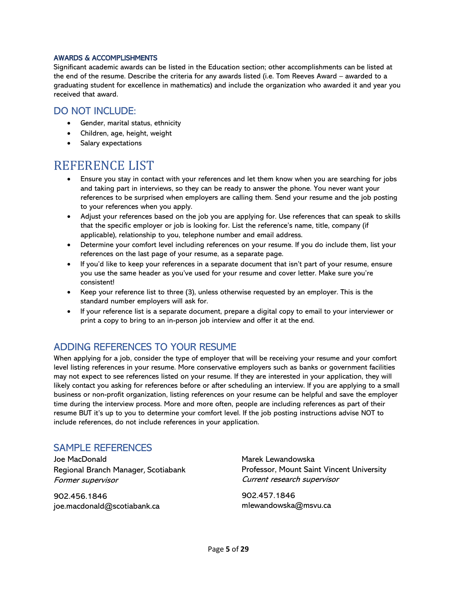#### <span id="page-4-0"></span>AWARDS & ACCOMPLISHMENTS

Significant academic awards can be listed in the Education section; other accomplishments can be listed at the end of the resume. Describe the criteria for any awards listed (i.e. Tom Reeves Award – awarded to a graduating student for excellence in mathematics) and include the organization who awarded it and year you received that award.

#### <span id="page-4-1"></span>DO NOT INCLUDE:

- Gender, marital status, ethnicity
- Children, age, height, weight
- Salary expectations

- <span id="page-4-2"></span>REFERENCE LIST<br>• Ensure you stay in contact with your references and let them know when you are searching for jobs and taking part in interviews, so they can be ready to answer the phone. You never want your references to be surprised when employers are calling them. Send your resume and the job posting to your references when you apply.
	- Adjust your references based on the job you are applying for. Use references that can speak to skills that the specific employer or job is looking for. List the reference's name, title, company (if applicable), relationship to you, telephone number and email address.
	- Determine your comfort level including references on your resume. If you do include them, list your references on the last page of your resume, as a separate page.
	- If you'd like to keep your references in a separate document that isn't part of your resume, ensure you use the same header as you've used for your resume and cover letter. Make sure you're consistent!
	- Keep your reference list to three (3), unless otherwise requested by an employer. This is the standard number employers will ask for.
	- If your reference list is a separate document, prepare a digital copy to email to your interviewer or print a copy to bring to an in-person job interview and offer it at the end.

# <span id="page-4-3"></span>ADDING REFERENCES TO YOUR RESUME

When applying for a job, consider the type of employer that will be receiving your resume and your comfort level listing references in your resume. More conservative employers such as banks or government facilities may not expect to see references listed on your resume. If they are interested in your application, they will likely contact you asking for references before or after scheduling an interview. If you are applying to a small business or non-profit organization, listing references on your resume can be helpful and save the employer time during the interview process. More and more often, people are including references as part of their resume BUT it's up to you to determine your comfort level. If the job posting instructions advise NOT to include references, do not include references in your application.

## <span id="page-4-4"></span>SAMPLE REFERENCES

Joe MacDonald Regional Branch Manager, Scotiabank Former supervisor

902.456.1846 joe.macdonald@scotiabank.ca Marek Lewandowska Professor, Mount Saint Vincent University Current research supervisor

902.457.1846 mlewandowska@msvu.ca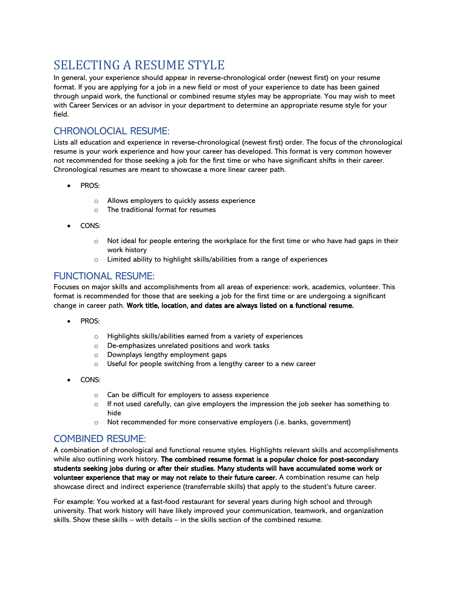# <span id="page-5-0"></span>SELECTING A RESUME STYLE

In general, your experience should appear in reverse-chronological order (newest first) on your resume format. If you are applying for a job in a new field or most of your experience to date has been gained through unpaid work, the functional or combined resume styles may be appropriate. You may wish to meet with Career Services or an advisor in your department to determine an appropriate resume style for your field.

# <span id="page-5-1"></span>CHRONOLOCIAL RESUME:

Lists all education and experience in reverse-chronological (newest first) order. The focus of the chronological resume is your work experience and how your career has developed. This format is very common however not recommended for those seeking a job for the first time or who have significant shifts in their career. Chronological resumes are meant to showcase a more linear career path.

- PROS:
	- o Allows employers to quickly assess experience
	- $\circ$  The traditional format for resumes
- CONS:
	- $\circ$  Not ideal for people entering the workplace for the first time or who have had gaps in their work history
	- o Limited ability to highlight skills/abilities from a range of experiences

## <span id="page-5-2"></span>FUNCTIONAL RESUME:

Focuses on major skills and accomplishments from all areas of experience: work, academics, volunteer. This format is recommended for those that are seeking a job for the first time or are undergoing a significant change in career path. Work title, location, and dates are always listed on a functional resume.

- PROS:
	- o Highlights skills/abilities earned from a variety of experiences
	- o De-emphasizes unrelated positions and work tasks
	- o Downplays lengthy employment gaps
	- o Useful for people switching from a lengthy career to a new career
- CONS:
	- o Can be difficult for employers to assess experience
	- $\circ$  If not used carefully, can give employers the impression the job seeker has something to hide
	- o Not recommended for more conservative employers (i.e. banks, government)

## <span id="page-5-3"></span>COMBINED RESUME:

A combination of chronological and functional resume styles. Highlights relevant skills and accomplishments while also outlining work history. The combined resume format is a popular choice for post-secondary students seeking jobs during or after their studies. Many students will have accumulated some work or volunteer experience that may or may not relate to their future career. A combination resume can help showcase direct and indirect experience (transferrable skills) that apply to the student's future career.

For example: You worked at a fast-food restaurant for several years during high school and through university. That work history will have likely improved your communication, teamwork, and organization skills. Show these skills – with details – in the skills section of the combined resume.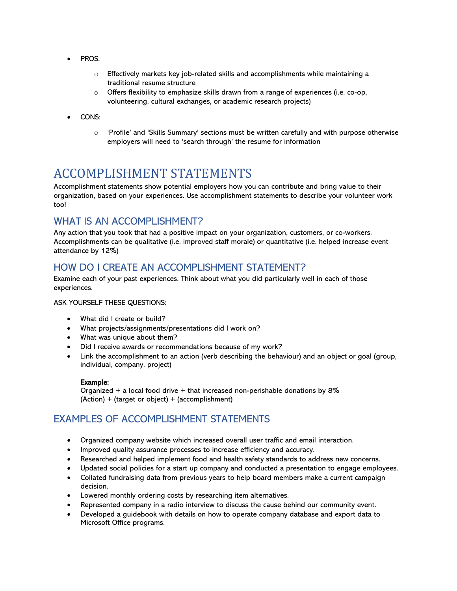- PROS:
	- o Effectively markets key job-related skills and accomplishments while maintaining a traditional resume structure
	- $\circ$  Offers flexibility to emphasize skills drawn from a range of experiences (i.e. co-op, volunteering, cultural exchanges, or academic research projects)
- CONS:
	- $\circ$  'Profile' and 'Skills Summary' sections must be written carefully and with purpose otherwise employers will need to 'search through' the resume for information

# <span id="page-6-0"></span>ACCOMPLISHMENT STATEMENTS

Accomplishment statements show potential employers how you can contribute and bring value to their organization, based on your experiences. Use accomplishment statements to describe your volunteer work too!

# <span id="page-6-1"></span>WHAT IS AN ACCOMPLISHMENT?

Any action that you took that had a positive impact on your organization, customers, or co-workers. Accomplishments can be qualitative (i.e. improved staff morale) or quantitative (i.e. helped increase event attendance by 12%)

# <span id="page-6-2"></span>HOW DO I CREATE AN ACCOMPLISHMENT STATEMENT?

Examine each of your past experiences. Think about what you did particularly well in each of those experiences.

#### ASK YOURSELF THESE QUESTIONS:

- What did I create or build?
- What projects/assignments/presentations did I work on?
- What was unique about them?
- Did I receive awards or recommendations because of my work?
- Link the accomplishment to an action (verb describing the behaviour) and an object or goal (group, individual, company, project)

#### Example:

Organized  $+$  a local food drive  $+$  that increased non-perishable donations by 8% (Action) + (target or object) + (accomplishment)

# <span id="page-6-3"></span>EXAMPLES OF ACCOMPLISHMENT STATEMENTS

- Organized company website which increased overall user traffic and email interaction.
- Improved quality assurance processes to increase efficiency and accuracy.
- Researched and helped implement food and health safety standards to address new concerns.
- Updated social policies for a start up company and conducted a presentation to engage employees.
- Collated fundraising data from previous years to help board members make a current campaign decision.
- Lowered monthly ordering costs by researching item alternatives.
- Represented company in a radio interview to discuss the cause behind our community event.
- Developed a guidebook with details on how to operate company database and export data to Microsoft Office programs.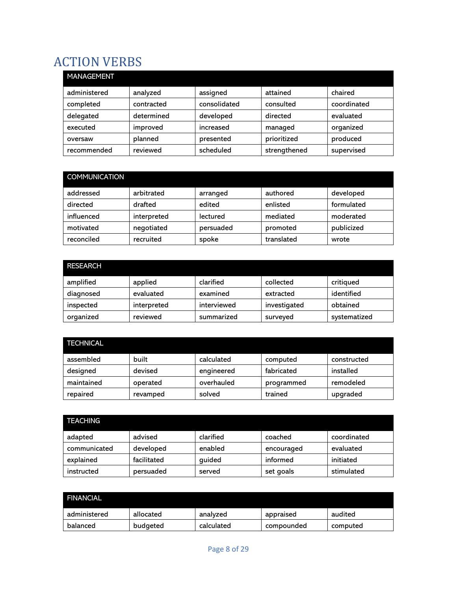# <span id="page-7-0"></span>ACTION VERBS

| <b>MANAGEMENT</b> |            |              |              |             |
|-------------------|------------|--------------|--------------|-------------|
| administered      | analyzed   | assigned     | attained     | chaired     |
| completed         | contracted | consolidated | consulted    | coordinated |
| delegated         | determined | developed    | directed     | evaluated   |
| executed          | improved   | increased    | managed      | organized   |
| oversaw           | planned    | presented    | prioritized  | produced    |
| recommended       | reviewed   | scheduled    | strengthened | supervised  |

| <b>COMMUNICATION</b> |             |           |            |            |
|----------------------|-------------|-----------|------------|------------|
| addressed            | arbitrated  | arranged  | authored   | developed  |
| directed             | drafted     | edited    | enlisted   | formulated |
| influenced           | interpreted | lectured  | mediated   | moderated  |
| motivated            | negotiated  | persuaded | promoted   | publicized |
| reconciled           | recruited   | spoke     | translated | wrote      |

| <b>RESEARCH</b> |             |             |              |              |
|-----------------|-------------|-------------|--------------|--------------|
| amplified       | applied     | clarified   | collected    | critiqued    |
| diagnosed       | evaluated   | examined    | extracted    | identified   |
| inspected       | interpreted | interviewed | investigated | obtained     |
| organized       | reviewed    | summarized  | surveyed     | systematized |

| <b>TECHNICAL</b> |          |            |            |             |
|------------------|----------|------------|------------|-------------|
| assembled        | built    | calculated | computed   | constructed |
| designed         | devised  | engineered | fabricated | installed   |
| maintained       | operated | overhauled | programmed | remodeled   |
| repaired         | revamped | solved     | trained    | upgraded    |

| <b>TEACHING</b> |             |           |            |             |
|-----------------|-------------|-----------|------------|-------------|
| adapted         | advised     | clarified | coached    | coordinated |
| communicated    | developed   | enabled   | encouraged | evaluated   |
| explained       | facilitated | guided    | informed   | initiated   |
| instructed      | persuaded   | served    | set goals  | stimulated  |

| <b>FINANCIAL</b> |           |            |            |          |
|------------------|-----------|------------|------------|----------|
| administered     | allocated | analyzed   | appraised  | audited  |
| balanced         | budgeted  | calculated | compounded | computed |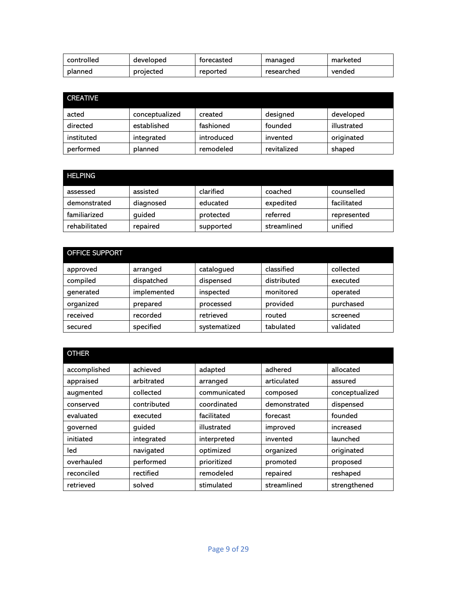| controlled | developed | torecasted | managed    | marketed |
|------------|-----------|------------|------------|----------|
| planned    | projected | reported   | researched | vended   |

| <b>CREATIVE</b> |                |            |             |             |
|-----------------|----------------|------------|-------------|-------------|
| acted           | conceptualized | created    | designed    | developed   |
| directed        | established    | fashioned  | founded     | illustrated |
| instituted      | integrated     | introduced | invented    | originated  |
| performed       | planned        | remodeled  | revitalized | shaped      |

| <b>HELPING</b> |           |           |             |             |
|----------------|-----------|-----------|-------------|-------------|
| assessed       | assisted  | clarified | coached     | counselled  |
| demonstrated   | diagnosed | educated  | expedited   | facilitated |
| familiarized   | guided    | protected | referred    | represented |
| rehabilitated  | repaired  | supported | streamlined | unified     |

| OFFICE SUPPORT |             |              |             |           |
|----------------|-------------|--------------|-------------|-----------|
| approved       | arranged    | catalogued   | classified  | collected |
| compiled       | dispatched  | dispensed    | distributed | executed  |
| generated      | implemented | inspected    | monitored   | operated  |
| organized      | prepared    | processed    | provided    | purchased |
| received       | recorded    | retrieved    | routed      | screened  |
| secured        | specified   | systematized | tabulated   | validated |

| <b>OTHER</b> |             |              |              |                |
|--------------|-------------|--------------|--------------|----------------|
| accomplished | achieved    | adapted      | adhered      | allocated      |
| appraised    | arbitrated  | arranged     | articulated  | assured        |
| augmented    | collected   | communicated | composed     | conceptualized |
| conserved    | contributed | coordinated  | demonstrated | dispensed      |
| evaluated    | executed    | facilitated  | forecast     | founded        |
| governed     | quided      | illustrated  | improved     | increased      |
| initiated    | integrated  | interpreted  | invented     | launched       |
| led          | navigated   | optimized    | organized    | originated     |
| overhauled   | performed   | prioritized  | promoted     | proposed       |
| reconciled   | rectified   | remodeled    | repaired     | reshaped       |
| retrieved    | solved      | stimulated   | streamlined  | strengthened   |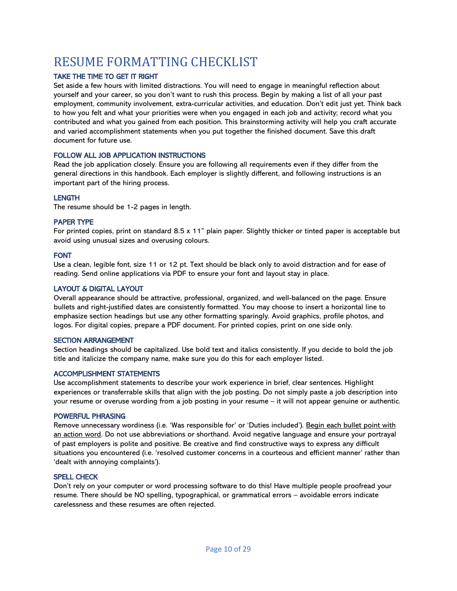# <span id="page-9-0"></span>RESUME FORMATTING CHECKLIST

#### TAKE THE TIME TO GET IT RIGHT

Set aside a few hours with limited distractions. You will need to engage in meaningful reflection about yourself and your career, so you don't want to rush this process. Begin by making a list of all your past employment, community involvement, extra-curricular activities, and education. Don't edit just yet. Think back to how you felt and what your priorities were when you engaged in each job and activity; record what you contributed and what you gained from each position. This brainstorming activity will help you craft accurate and varied accomplishment statements when you put together the finished document. Save this draft document for future use.

#### FOLLOW ALL JOB APPLICATION INSTRUCTIONS

Read the job application closely. Ensure you are following all requirements even if they differ from the general directions in this handbook. Each employer is slightly different, and following instructions is an important part of the hiring process.

#### **LENGTH**

The resume should be 1-2 pages in length.

#### PAPER TYPE

For printed copies, print on standard 8.5 x 11" plain paper. Slightly thicker or tinted paper is acceptable but avoid using unusual sizes and overusing colours.

#### FONT

Use a clean, legible font, size 11 or 12 pt. Text should be black only to avoid distraction and for ease of reading. Send online applications via PDF to ensure your font and layout stay in place.

#### LAYOUT & DIGITAL LAYOUT

Overall appearance should be attractive, professional, organized, and well-balanced on the page. Ensure bullets and right-justified dates are consistently formatted. You may choose to insert a horizontal line to emphasize section headings but use any other formatting sparingly. Avoid graphics, profile photos, and logos. For digital copies, prepare a PDF document. For printed copies, print on one side only.

#### SECTION ARRANGEMENT

Section headings should be capitalized. Use bold text and italics consistently. If you decide to bold the job title and italicize the company name, make sure you do this for each employer listed.

#### ACCOMPLISHMENT STATEMENTS

Use accomplishment statements to describe your work experience in brief, clear sentences. Highlight experiences or transferrable skills that align with the job posting. Do not simply paste a job description into your resume or overuse wording from a job posting in your resume – it will not appear genuine or authentic.

#### POWERFUL PHRASING

Remove unnecessary wordiness (i.e. 'Was responsible for' or 'Duties included'). Begin each bullet point with an action word. Do not use abbreviations or shorthand. Avoid negative language and ensure your portrayal of past employers is polite and positive. Be creative and find constructive ways to express any difficult situations you encountered (i.e. 'resolved customer concerns in a courteous and efficient manner' rather than 'dealt with annoying complaints').

#### SPELL CHECK

Don't rely on your computer or word processing software to do this! Have multiple people proofread your resume. There should be NO spelling, typographical, or grammatical errors – avoidable errors indicate carelessness and these resumes are often rejected.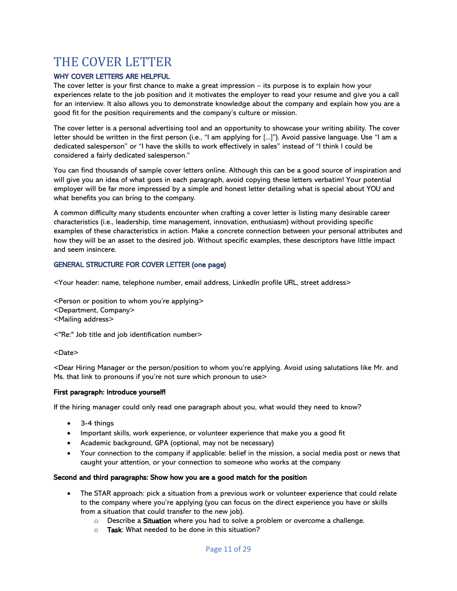# <span id="page-10-0"></span>THE COVER LETTER

#### <span id="page-10-1"></span>WHY COVER LETTERS ARE HELPFUL

The cover letter is your first chance to make a great impression – its purpose is to explain how your experiences relate to the job position and it motivates the employer to read your resume and give you a call for an interview. It also allows you to demonstrate knowledge about the company and explain how you are a good fit for the position requirements and the company's culture or mission.

The cover letter is a personal advertising tool and an opportunity to showcase your writing ability. The cover letter should be written in the first person (i.e., "I am applying for [...]"). Avoid passive language. Use "I am a dedicated salesperson" or "I have the skills to work effectively in sales" instead of "I think I could be considered a fairly dedicated salesperson."

You can find thousands of sample cover letters online. Although this can be a good source of inspiration and will give you an idea of what goes in each paragraph, avoid copying these letters verbatim! Your potential employer will be far more impressed by a simple and honest letter detailing what is special about YOU and what benefits you can bring to the company.

A common difficulty many students encounter when crafting a cover letter is listing many desirable career characteristics (i.e., leadership, time management, innovation, enthusiasm) without providing specific examples of these characteristics in action. Make a concrete connection between your personal attributes and how they will be an asset to the desired job. Without specific examples, these descriptors have little impact and seem insincere.

#### <span id="page-10-2"></span>GENERAL STRUCTURE FOR COVER LETTER (one page)

<Your header: name, telephone number, email address, LinkedIn profile URL, street address>

<Person or position to whom you're applying> <Department, Company> <Mailing address>

<"Re:" Job title and job identification number>

#### <Date>

<Dear Hiring Manager or the person/position to whom you're applying. Avoid using salutations like Mr. and Ms. that link to pronouns if you're not sure which pronoun to use>

#### First paragraph: Introduce yourself!

If the hiring manager could only read one paragraph about you, what would they need to know?

- 3-4 things
- Important skills, work experience, or volunteer experience that make you a good fit
- Academic background, GPA (optional, may not be necessary)
- Your connection to the company if applicable: belief in the mission, a social media post or news that caught your attention, or your connection to someone who works at the company

#### Second and third paragraphs: Show how you are a good match for the position

- The STAR approach: pick a situation from a previous work or volunteer experience that could relate to the company where you're applying (you can focus on the direct experience you have or skills from a situation that could transfer to the new job).
	- o Describe a Situation where you had to solve a problem or overcome a challenge.
	- $\circ$  Task: What needed to be done in this situation?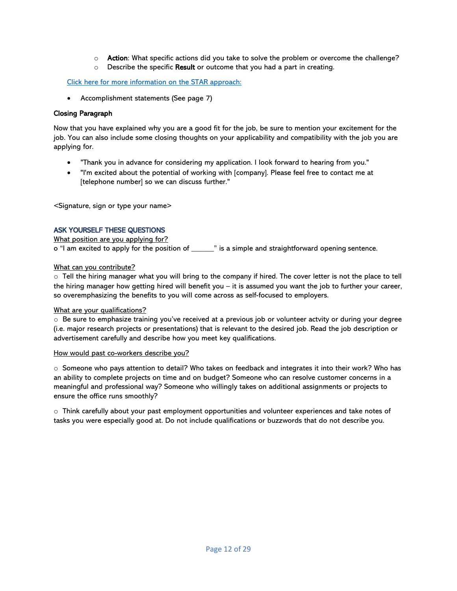- o **Action**: What specific actions did you take to solve the problem or overcome the challenge?
- $\circ$  Describe the specific Result or outcome that you had a part in creating.

#### [Click here for more information on the](about:blank) STAR approach:

• Accomplishment statements (See page 7)

#### Closing Paragraph

Now that you have explained why you are a good fit for the job, be sure to mention your excitement for the job. You can also include some closing thoughts on your applicability and compatibility with the job you are applying for.

- "Thank you in advance for considering my application. I look forward to hearing from you."
- "I'm excited about the potential of working with [company]. Please feel free to contact me at [telephone number] so we can discuss further."

<Signature, sign or type your name>

#### <span id="page-11-0"></span>ASK YOURSELF THESE QUESTIONS

What position are you applying for? o "I am excited to apply for the position of \_\_\_\_\_\_" is a simple and straightforward opening sentence.

#### What can you contribute?

 $\circ$  Tell the hiring manager what you will bring to the company if hired. The cover letter is not the place to tell the hiring manager how getting hired will benefit you – it is assumed you want the job to further your career, so overemphasizing the benefits to you will come across as self-focused to employers.

#### What are your qualifications?

o Be sure to emphasize training you've received at a previous job or volunteer actvity or during your degree (i.e. major research projects or presentations) that is relevant to the desired job. Read the job description or advertisement carefully and describe how you meet key qualifications.

#### How would past co-workers describe you?

 $\circ$  Someone who pays attention to detail? Who takes on feedback and integrates it into their work? Who has an ability to complete projects on time and on budget? Someone who can resolve customer concerns in a meaningful and professional way? Someone who willingly takes on additional assignments or projects to ensure the office runs smoothly?

 $\circ$  Think carefully about your past employment opportunities and volunteer experiences and take notes of tasks you were especially good at. Do not include qualifications or buzzwords that do not describe you.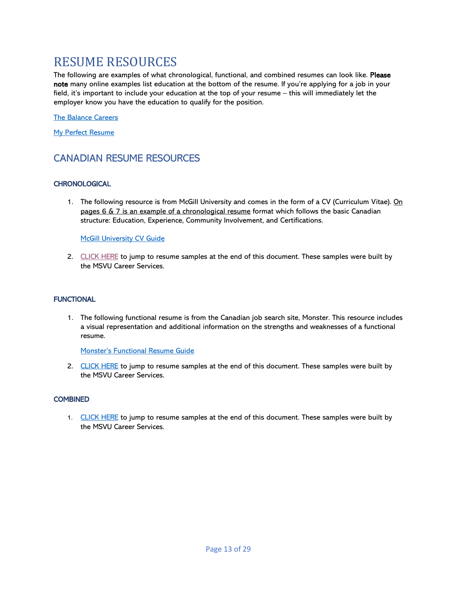# <span id="page-12-0"></span>RESUME RESOURCES

The following are examples of what chronological, functional, and combined resumes can look like. Please note many online examples list education at the bottom of the resume. If you're applying for a job in your field, it's important to include your education at the top of your resume – this will immediately let the employer know you have the education to qualify for the position.

[The Balance Careers](about:blank)

[My Perfect Resume](about:blank)

# <span id="page-12-1"></span>CANADIAN RESUME RESOURCES

#### <span id="page-12-2"></span>**CHRONOLOGICAL**

1. The following resource is from McGill University and comes in the form of a CV (Curriculum Vitae). On pages  $6 \& 7$  is an example of a chronological resume format which follows the basic Canadian structure: Education, Experience, Community Involvement, and Certifications.

**[McGill University CV Guide](about:blank)** 

2. [CLICK HERE](#page-16-0) to jump to resume samples at the end of this document. These samples were built by the MSVU Career Services.

#### <span id="page-12-3"></span>**FUNCTIONAL**

1. The following functional resume is from the Canadian job search site, Monster. This resource includes a visual representation and additional information on the strengths and weaknesses of a functional resume.

[Monster's Functional Resume Guide](about:blank)

2. [CLICK HERE](#page-20-0) to jump to resume samples at the end of this document. These samples were built by the MSVU Career Services.

#### <span id="page-12-4"></span>**COMBINED**

1. [CLICK HERE](#page-24-0) to jump to resume samples at the end of this document. These samples were built by the MSVU Career Services.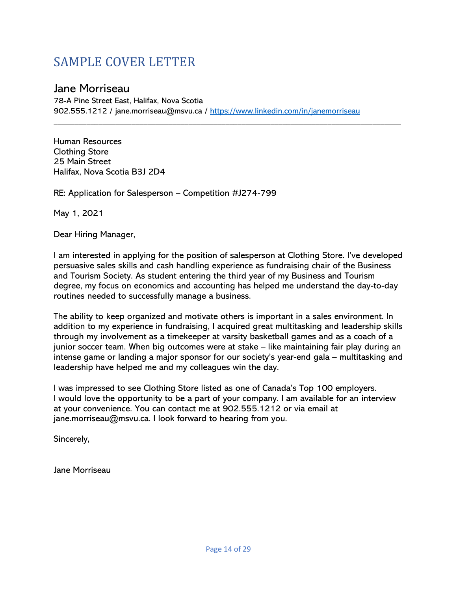# <span id="page-13-0"></span>SAMPLE COVER LETTER

# Jane Morriseau

78-A Pine Street East, Halifax, Nova Scotia 902.555.1212 / jane.morriseau@msvu.ca /<https://www.linkedin.com/in/janemorriseau>

\_\_\_\_\_\_\_\_\_\_\_\_\_\_\_\_\_\_\_\_\_\_\_\_\_\_\_\_\_\_\_\_\_\_\_\_\_\_\_\_\_\_\_\_\_\_\_\_\_\_\_\_\_\_\_\_\_\_\_\_\_\_\_\_\_\_\_\_\_\_\_\_\_\_\_\_\_\_\_\_\_\_\_\_\_

Human Resources Clothing Store 25 Main Street Halifax, Nova Scotia B3J 2D4

RE: Application for Salesperson – Competition #J274-799

May 1, 2021

Dear Hiring Manager,

I am interested in applying for the position of salesperson at Clothing Store. I've developed persuasive sales skills and cash handling experience as fundraising chair of the Business and Tourism Society. As student entering the third year of my Business and Tourism degree, my focus on economics and accounting has helped me understand the day-to-day routines needed to successfully manage a business.

The ability to keep organized and motivate others is important in a sales environment. In addition to my experience in fundraising, I acquired great multitasking and leadership skills through my involvement as a timekeeper at varsity basketball games and as a coach of a junior soccer team. When big outcomes were at stake – like maintaining fair play during an intense game or landing a major sponsor for our society's year-end gala – multitasking and leadership have helped me and my colleagues win the day.

I was impressed to see Clothing Store listed as one of Canada's Top 100 employers. I would love the opportunity to be a part of your company. I am available for an interview at your convenience. You can contact me at 902.555.1212 or via email at jane.morriseau@msvu.ca. I look forward to hearing from you.

Sincerely,

Jane Morriseau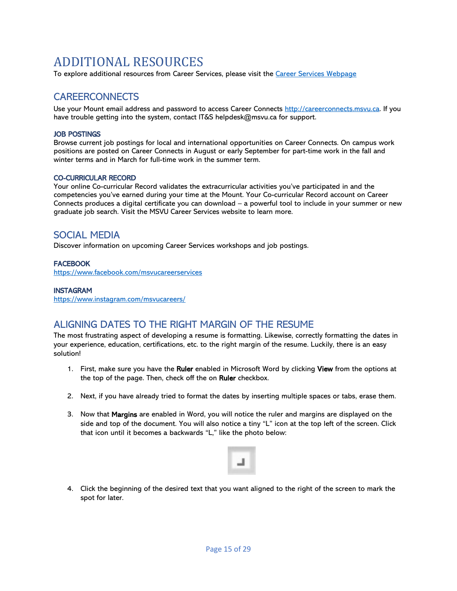# <span id="page-14-0"></span>ADDITIONAL RESOURCES

<span id="page-14-1"></span>To explore additional resources from Career Services, please visit the [Career Services Webpage](about:blank)

# **CAREERCONNECTS**

<span id="page-14-2"></span>Use your Mount email address and password to access Career Connects [http://careerconnects.msvu.ca.](http://careerconnects.msvu.ca/) If you have trouble getting into the system, contact IT&S helpdesk@msvu.ca for support.

#### JOB POSTINGS

Browse current job postings for local and international opportunities on Career Connects. On campus work positions are posted on Career Connects in August or early September for part-time work in the fall and winter terms and in March for full-time work in the summer term.

#### <span id="page-14-3"></span>CO-CURRICULAR RECORD

Your online Co-curricular Record validates the extracurricular activities you've participated in and the competencies you've earned during your time at the Mount. Your Co-curricular Record account on Career Connects produces a digital certificate you can download – a powerful tool to include in your summer or new graduate job search. Visit the MSVU Career Services website to learn more.

### <span id="page-14-4"></span>SOCIAL MEDIA

Discover information on upcoming Career Services workshops and job postings.

#### <span id="page-14-5"></span>**FACEBOOK**

[https://www.facebook.com/msvucareerservices](about:blank)

#### <span id="page-14-6"></span>INSTAGRAM

[https://www.instagram.com/msvucareers/](about:blank)

# <span id="page-14-7"></span>ALIGNING DATES TO THE RIGHT MARGIN OF THE RESUME

The most frustrating aspect of developing a resume is formatting. Likewise, correctly formatting the dates in your experience, education, certifications, etc. to the right margin of the resume. Luckily, there is an easy solution!

- 1. First, make sure you have the Ruler enabled in Microsoft Word by clicking View from the options at the top of the page. Then, check off the on Ruler checkbox.
- 2. Next, if you have already tried to format the dates by inserting multiple spaces or tabs, erase them.
- 3. Now that Margins are enabled in Word, you will notice the ruler and margins are displayed on the side and top of the document. You will also notice a tiny "L" icon at the top left of the screen. Click that icon until it becomes a backwards "L," like the photo below:



4. Click the beginning of the desired text that you want aligned to the right of the screen to mark the spot for later.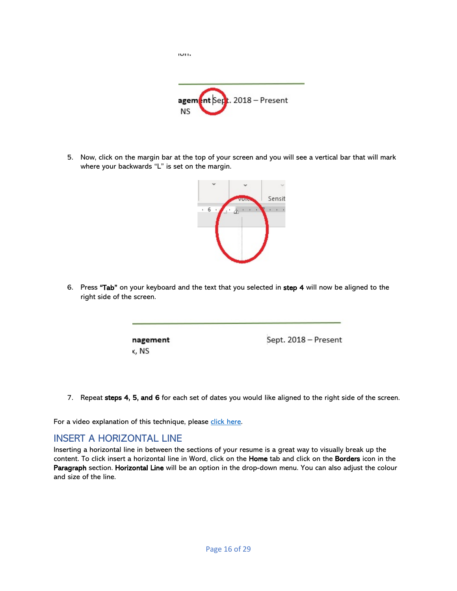

יישו

5. Now, click on the margin bar at the top of your screen and you will see a vertical bar that will mark where your backwards "L" is set on the margin.



6. Press "Tab" on your keyboard and the text that you selected in step 4 will now be aligned to the right side of the screen.

> nagement x, NS

Sept. 2018 - Present

7. Repeat steps 4, 5, and 6 for each set of dates you would like aligned to the right side of the screen.

For a video explanation of this technique, please [click here.](about:blank)

## <span id="page-15-0"></span>INSERT A HORIZONTAL LINE

Inserting a horizontal line in between the sections of your resume is a great way to visually break up the content. To click insert a horizontal line in Word, click on the Home tab and click on the Borders icon in the Paragraph section. Horizontal Line will be an option in the drop-down menu. You can also adjust the colour and size of the line.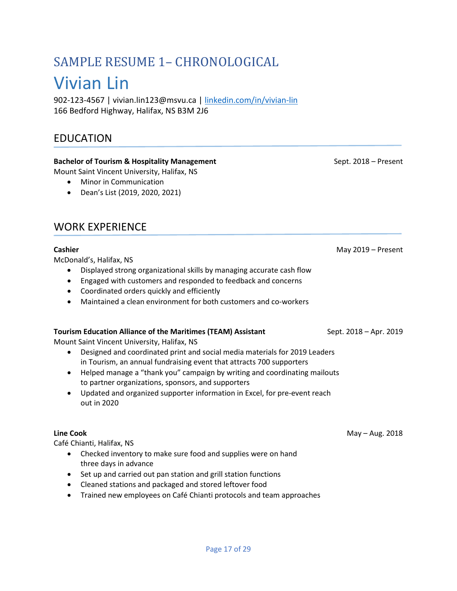# <span id="page-16-0"></span>SAMPLE RESUME 1– CHRONOLOGICAL Vivian Lin

902-123-4567 | vivian.lin123@msvu.ca | [linkedin.com/in/vivian-lin](about:blank) 166 Bedford Highway, Halifax, NS B3M 2J6

# EDUCATION

#### **Bachelor of Tourism & Hospitality Management** Sept. 2018 – Present

Mount Saint Vincent University, Halifax, NS

- Minor in Communication
- Dean's List (2019, 2020, 2021)

# WORK EXPERIENCE

McDonald's, Halifax, NS

- Displayed strong organizational skills by managing accurate cash flow
- Engaged with customers and responded to feedback and concerns
- Coordinated orders quickly and efficiently
- Maintained a clean environment for both customers and co-workers

#### **Tourism Education Alliance of the Maritimes (TEAM) Assistant Sept. 2018 - Sept. 2018 - Apr. 2019**

Mount Saint Vincent University, Halifax, NS

- Designed and coordinated print and social media materials for 2019 Leaders in Tourism, an annual fundraising event that attracts 700 supporters
- Helped manage a "thank you" campaign by writing and coordinating mailouts to partner organizations, sponsors, and supporters
- Updated and organized supporter information in Excel, for pre-event reach out in 2020

Café Chianti, Halifax, NS

- Checked inventory to make sure food and supplies were on hand three days in advance
- Set up and carried out pan station and grill station functions
- Cleaned stations and packaged and stored leftover food
- Trained new employees on Café Chianti protocols and team approaches

**Cashier Cashier 2019** – Present

**Line Cook May – Aug. 2018**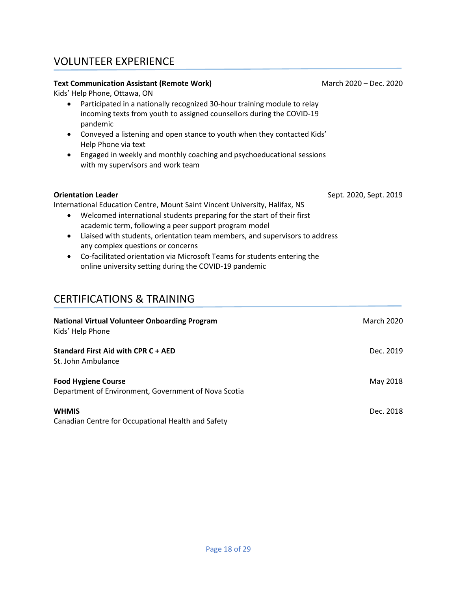# VOLUNTEER EXPERIENCE

#### **Text Communication Assistant (Remote Work)** Mach 2020 – Dec. 2020

Kids' Help Phone, Ottawa, ON

- Participated in a nationally recognized 30-hour training module to relay incoming texts from youth to assigned counsellors during the COVID-19 pandemic
- Conveyed a listening and open stance to youth when they contacted Kids' Help Phone via text
- Engaged in weekly and monthly coaching and psychoeducational sessions with my supervisors and work team

| <b>Orientation Leader</b>                                                   | Sept. 2020, Sept. 2019 |
|-----------------------------------------------------------------------------|------------------------|
| International Education Centre, Mount Saint Vincent University, Halifax, NS |                        |
| Welcomed international students preparing for the start of their first      |                        |
| academic term, following a peer support program model                       |                        |

- Liaised with students, orientation team members, and supervisors to address any complex questions or concerns
- Co-facilitated orientation via Microsoft Teams for students entering the online university setting during the COVID-19 pandemic

# CERTIFICATIONS & TRAINING

| <b>National Virtual Volunteer Onboarding Program</b><br>Kids' Help Phone           | <b>March 2020</b> |
|------------------------------------------------------------------------------------|-------------------|
| <b>Standard First Aid with CPR C + AED</b><br>St. John Ambulance                   | Dec. 2019         |
| <b>Food Hygiene Course</b><br>Department of Environment, Government of Nova Scotia | May 2018          |
| <b>WHMIS</b><br>Canadian Centre for Occupational Health and Safety                 | Dec. 2018         |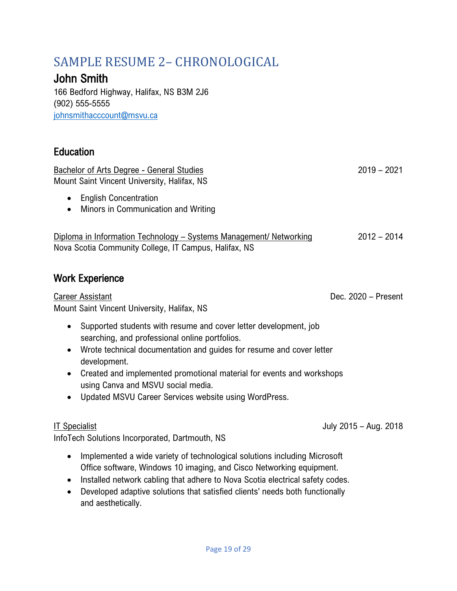# <span id="page-18-0"></span>SAMPLE RESUME 2– CHRONOLOGICAL

# John Smith

166 Bedford Highway, Halifax, NS B3M 2J6 (902) 555-5555 [johnsmithacccount@msvu.ca](about:blank)

# **Education**

Bachelor of Arts Degree - General Studies 2019 - 2021 Mount Saint Vincent University, Halifax, NS

- English Concentration
- Minors in Communication and Writing

Diploma in Information Technology – Systems Management/ Networking 2012 – 2014 Nova Scotia Community College, IT Campus, Halifax, NS

# Work Experience

Career Assistant Dec. 2020 – Present Mount Saint Vincent University, Halifax, NS

- Supported students with resume and cover letter development, job searching, and professional online portfolios.
- Wrote technical documentation and guides for resume and cover letter development.
- Created and implemented promotional material for events and workshops using Canva and MSVU social media.
- Updated MSVU Career Services website using WordPress.

InfoTech Solutions Incorporated, Dartmouth, NS

- Implemented a wide variety of technological solutions including Microsoft Office software, Windows 10 imaging, and Cisco Networking equipment.
- Installed network cabling that adhere to Nova Scotia electrical safety codes.
- Developed adaptive solutions that satisfied clients' needs both functionally and aesthetically.

IT Specialist July 2015 – Aug. 2018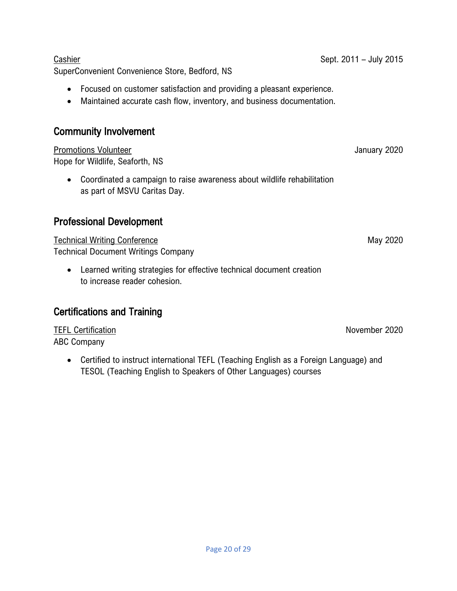SuperConvenient Convenience Store, Bedford, NS

- Focused on customer satisfaction and providing a pleasant experience.
- Maintained accurate cash flow, inventory, and business documentation.

# Community Involvement

Promotions Volunteer January 2020 Hope for Wildlife, Seaforth, NS

• Coordinated a campaign to raise awareness about wildlife rehabilitation as part of MSVU Caritas Day.

# Professional Development

Technical Writing Conference May 2020 Technical Document Writings Company

• Learned writing strategies for effective technical document creation to increase reader cohesion.

# Certifications and Training

TEFL Certification November 2020 ABC Company

• Certified to instruct international TEFL (Teaching English as a Foreign Language) and TESOL (Teaching English to Speakers of Other Languages) courses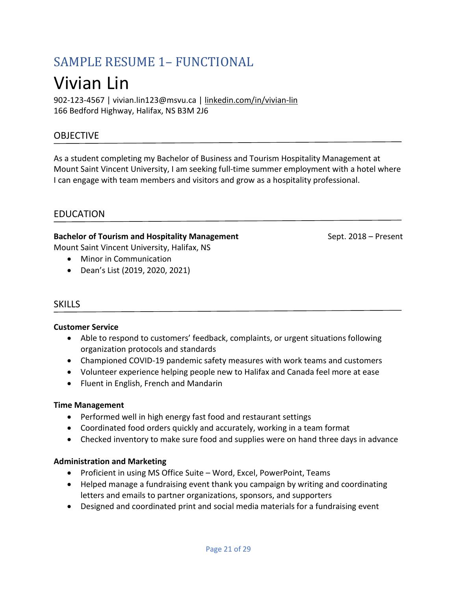# <span id="page-20-0"></span>SAMPLE RESUME 1– FUNCTIONAL Vivian Lin

902-123-4567 | vivian.lin123@msvu.ca | [linkedin.com/in/vivian-lin](about:blank) 166 Bedford Highway, Halifax, NS B3M 2J6

# OBJECTIVE

As a student completing my Bachelor of Business and Tourism Hospitality Management at Mount Saint Vincent University, I am seeking full-time summer employment with a hotel where I can engage with team members and visitors and grow as a hospitality professional.

## EDUCATION

### **Bachelor of Tourism and Hospitality Management** Sept. 2018 – Present

Mount Saint Vincent University, Halifax, NS

- Minor in Communication
- Dean's List (2019, 2020, 2021)

### **SKILLS**

#### **Customer Service**

- Able to respond to customers' feedback, complaints, or urgent situations following organization protocols and standards
- Championed COVID-19 pandemic safety measures with work teams and customers
- Volunteer experience helping people new to Halifax and Canada feel more at ease
- Fluent in English, French and Mandarin

#### **Time Management**

- Performed well in high energy fast food and restaurant settings
- Coordinated food orders quickly and accurately, working in a team format
- Checked inventory to make sure food and supplies were on hand three days in advance

#### **Administration and Marketing**

- Proficient in using MS Office Suite Word, Excel, PowerPoint, Teams
- Helped manage a fundraising event thank you campaign by writing and coordinating letters and emails to partner organizations, sponsors, and supporters
- Designed and coordinated print and social media materials for a fundraising event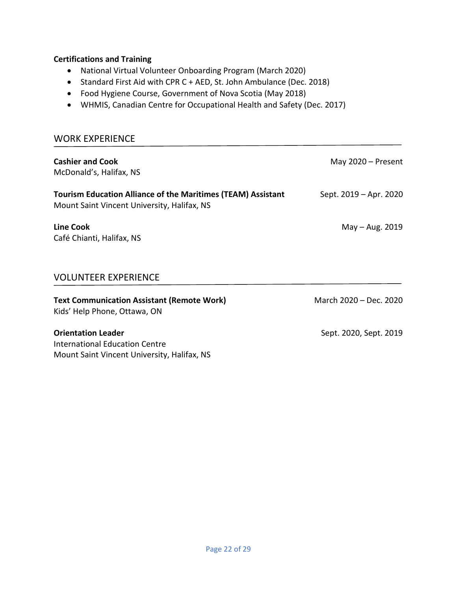#### **Certifications and Training**

- National Virtual Volunteer Onboarding Program (March 2020)
- Standard First Aid with CPR C + AED, St. John Ambulance (Dec. 2018)
- Food Hygiene Course, Government of Nova Scotia (May 2018)
- WHMIS, Canadian Centre for Occupational Health and Safety (Dec. 2017)

### WORK EXPERIENCE

| <b>Cashier and Cook</b><br>McDonald's, Halifax, NS                                                                 | May $2020$ – Present   |
|--------------------------------------------------------------------------------------------------------------------|------------------------|
| <b>Tourism Education Alliance of the Maritimes (TEAM) Assistant</b><br>Mount Saint Vincent University, Halifax, NS | Sept. 2019 – Apr. 2020 |
| <b>Line Cook</b><br>Café Chianti, Halifax, NS                                                                      | May $-$ Aug. 2019      |
| <b>VOLUNTEER EXPERIENCE</b>                                                                                        |                        |
| <b>Text Communication Assistant (Remote Work)</b><br>Kids' Help Phone, Ottawa, ON                                  | March 2020 - Dec. 2020 |

### **Orientation Leader** Sept. 2020, Sept. 2019 International Education Centre Mount Saint Vincent University, Halifax, NS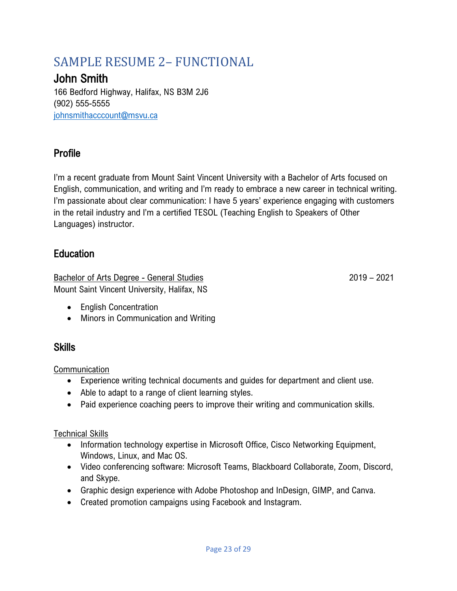# <span id="page-22-0"></span>SAMPLE RESUME 2– FUNCTIONAL

# John Smith

166 Bedford Highway, Halifax, NS B3M 2J6 (902) 555-5555 [johnsmithacccount@msvu.ca](about:blank)

# Profile

I'm a recent graduate from Mount Saint Vincent University with a Bachelor of Arts focused on English, communication, and writing and I'm ready to embrace a new career in technical writing. I'm passionate about clear communication: I have 5 years' experience engaging with customers in the retail industry and I'm a certified TESOL (Teaching English to Speakers of Other Languages) instructor.

# Education

Bachelor of Arts Degree - General Studies 2019 - 2021 Mount Saint Vincent University, Halifax, NS

- English Concentration
- Minors in Communication and Writing

# **Skills**

Communication

- Experience writing technical documents and guides for department and client use.
- Able to adapt to a range of client learning styles.
- Paid experience coaching peers to improve their writing and communication skills.

# Technical Skills

- Information technology expertise in Microsoft Office, Cisco Networking Equipment, Windows, Linux, and Mac OS.
- Video conferencing software: Microsoft Teams, Blackboard Collaborate, Zoom, Discord, and Skype.
- Graphic design experience with Adobe Photoshop and InDesign, GIMP, and Canva.
- Created promotion campaigns using Facebook and Instagram.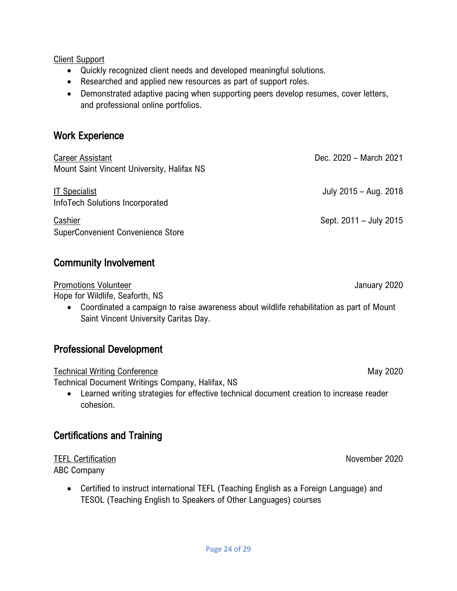Client Support

- Quickly recognized client needs and developed meaningful solutions.
- Researched and applied new resources as part of support roles.
- Demonstrated adaptive pacing when supporting peers develop resumes, cover letters, and professional online portfolios.

# Work Experience

| <b>Career Assistant</b><br>Mount Saint Vincent University, Halifax NS | Dec. 2020 - March 2021 |
|-----------------------------------------------------------------------|------------------------|
| <b>IT Specialist</b><br>InfoTech Solutions Incorporated               | July 2015 - Aug. 2018  |
| Cashier<br>SuperConvenient Convenience Store                          | Sept. 2011 - July 2015 |

# Community Involvement

Promotions Volunteer January 2020 Hope for Wildlife, Seaforth, NS

• Coordinated a campaign to raise awareness about wildlife rehabilitation as part of Mount Saint Vincent University Caritas Day.

# Professional Development

Technical Writing Conference May 2020

Technical Document Writings Company, Halifax, NS

• Learned writing strategies for effective technical document creation to increase reader cohesion.

# Certifications and Training

TEFL Certification November 2020

ABC Company

• Certified to instruct international TEFL (Teaching English as a Foreign Language) and TESOL (Teaching English to Speakers of Other Languages) courses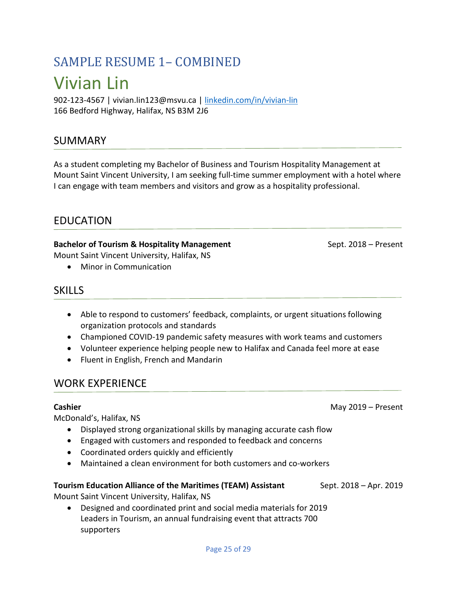# <span id="page-24-0"></span>SAMPLE RESUME 1– COMBINED Vivian Lin

902-123-4567 | vivian.lin123@msvu.ca | [linkedin.com/in/vivian-lin](about:blank) 166 Bedford Highway, Halifax, NS B3M 2J6

# SUMMARY

As a student completing my Bachelor of Business and Tourism Hospitality Management at Mount Saint Vincent University, I am seeking full-time summer employment with a hotel where I can engage with team members and visitors and grow as a hospitality professional.

# EDUCATION

#### **Bachelor of Tourism & Hospitality Management** Sept. 2018 – Present Mount Saint Vincent University, Halifax, NS

• Minor in Communication

# **SKILLS**

- Able to respond to customers' feedback, complaints, or urgent situations following organization protocols and standards
- Championed COVID-19 pandemic safety measures with work teams and customers
- Volunteer experience helping people new to Halifax and Canada feel more at ease
- Fluent in English, French and Mandarin

# WORK EXPERIENCE

### **Cashier** May 2019 – Present

McDonald's, Halifax, NS

- Displayed strong organizational skills by managing accurate cash flow
- Engaged with customers and responded to feedback and concerns
- Coordinated orders quickly and efficiently
- Maintained a clean environment for both customers and co-workers

# **Tourism Education Alliance of the Maritimes (TEAM) Assistant** Sept. 2018 – Apr. 2019

Mount Saint Vincent University, Halifax, NS

• Designed and coordinated print and social media materials for 2019 Leaders in Tourism, an annual fundraising event that attracts 700 supporters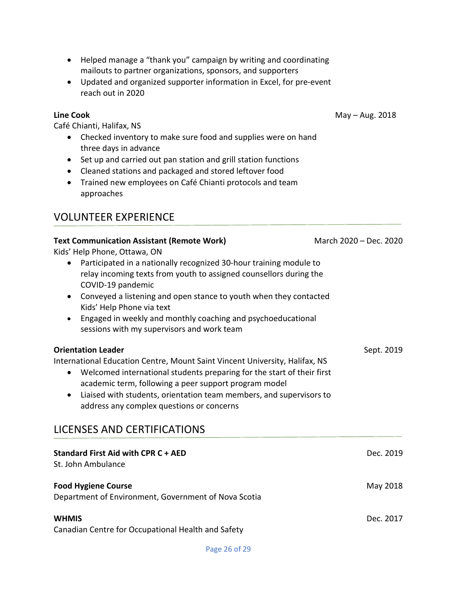- Helped manage a "thank you" campaign by writing and coordinating mailouts to partner organizations, sponsors, and supporters
- Updated and organized supporter information in Excel, for pre-event reach out in 2020

Café Chianti, Halifax, NS

- Checked inventory to make sure food and supplies were on hand three days in advance
- Set up and carried out pan station and grill station functions
- Cleaned stations and packaged and stored leftover food
- Trained new employees on Café Chianti protocols and team approaches

# VOLUNTEER EXPERIENCE

| <b>Text Communication Assistant (Remote Work)</b><br>Kids' Help Phone, Ottawa, ON<br>Participated in a nationally recognized 30-hour training module to<br>$\bullet$<br>relay incoming texts from youth to assigned counsellors during the<br>COVID-19 pandemic<br>Conveyed a listening and open stance to youth when they contacted<br>$\bullet$<br>Kids' Help Phone via text<br>Engaged in weekly and monthly coaching and psychoeducational<br>$\bullet$<br>sessions with my supervisors and work team | March 2020 - Dec. 2020 |
|-----------------------------------------------------------------------------------------------------------------------------------------------------------------------------------------------------------------------------------------------------------------------------------------------------------------------------------------------------------------------------------------------------------------------------------------------------------------------------------------------------------|------------------------|
| <b>Orientation Leader</b><br>International Education Centre, Mount Saint Vincent University, Halifax, NS<br>Welcomed international students preparing for the start of their first<br>$\bullet$<br>academic term, following a peer support program model<br>Liaised with students, orientation team members, and supervisors to<br>$\bullet$<br>address any complex questions or concerns                                                                                                                 | Sept. 2019             |
| <b>LICENSES AND CERTIFICATIONS</b>                                                                                                                                                                                                                                                                                                                                                                                                                                                                        |                        |
| Standard First Aid with CPR C + AED<br>St. John Ambulance                                                                                                                                                                                                                                                                                                                                                                                                                                                 | Dec. 2019              |
| <b>Food Hygiene Course</b><br>Department of Environment, Government of Nova Scotia                                                                                                                                                                                                                                                                                                                                                                                                                        | May 2018               |
| <b>WHMIS</b><br>Canadian Centre for Occupational Health and Safety                                                                                                                                                                                                                                                                                                                                                                                                                                        | Dec. 2017              |

**Line Cook** May – Aug. 2018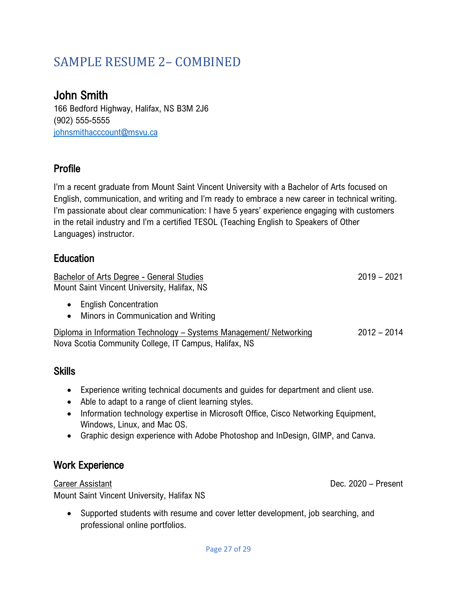# <span id="page-26-0"></span>SAMPLE RESUME 2– COMBINED

# John Smith

166 Bedford Highway, Halifax, NS B3M 2J6 (902) 555-5555 [johnsmithacccount@msvu.ca](about:blank)

# Profile

I'm a recent graduate from Mount Saint Vincent University with a Bachelor of Arts focused on English, communication, and writing and I'm ready to embrace a new career in technical writing. I'm passionate about clear communication: I have 5 years' experience engaging with customers in the retail industry and I'm a certified TESOL (Teaching English to Speakers of Other Languages) instructor.

# **Education**

Bachelor of Arts Degree - General Studies 2019 - 2021 Mount Saint Vincent University, Halifax, NS

- English Concentration
- Minors in Communication and Writing

Diploma in Information Technology – Systems Management/ Networking 2012 – 2014 Nova Scotia Community College, IT Campus, Halifax, NS

# **Skills**

- Experience writing technical documents and guides for department and client use.
- Able to adapt to a range of client learning styles.
- Information technology expertise in Microsoft Office, Cisco Networking Equipment, Windows, Linux, and Mac OS.
- Graphic design experience with Adobe Photoshop and InDesign, GIMP, and Canva.

# Work Experience

Career Assistant Dec. 2020 – Present

Mount Saint Vincent University, Halifax NS

• Supported students with resume and cover letter development, job searching, and professional online portfolios.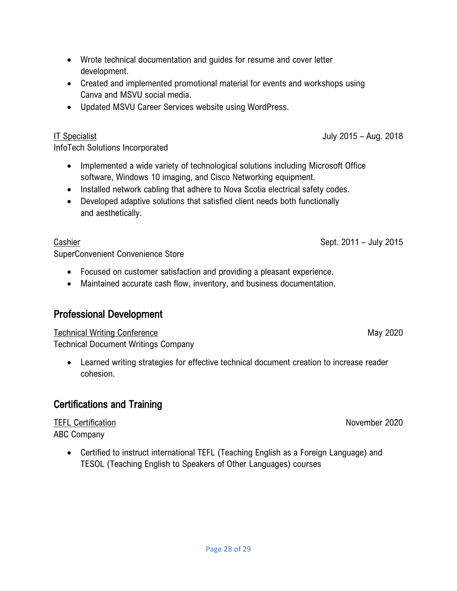- Wrote technical documentation and guides for resume and cover letter development.
- Created and implemented promotional material for events and workshops using Canva and MSVU social media.
- Updated MSVU Career Services website using WordPress.

## IT Specialist July 2015 – Aug. 2018

InfoTech Solutions Incorporated

- Implemented a wide variety of technological solutions including Microsoft Office software, Windows 10 imaging, and Cisco Networking equipment.
- Installed network cabling that adhere to Nova Scotia electrical safety codes.
- Developed adaptive solutions that satisfied client needs both functionally and aesthetically.

SuperConvenient Convenience Store

- Focused on customer satisfaction and providing a pleasant experience.
- Maintained accurate cash flow, inventory, and business documentation.

# Professional Development

Technical Writing Conference May 2020

Technical Document Writings Company

• Learned writing strategies for effective technical document creation to increase reader cohesion.

# Certifications and Training

## TEFL Certification November 2020 ABC Company

• Certified to instruct international TEFL (Teaching English as a Foreign Language) and TESOL (Teaching English to Speakers of Other Languages) courses

Cashier Sept. 2011 – July 2015